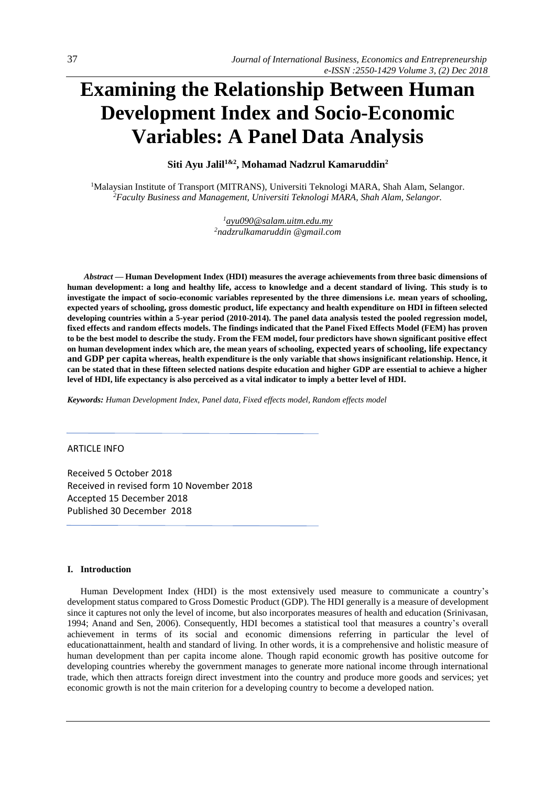# **Examining the Relationship Between Human Development Index and Socio-Economic Variables: A Panel Data Analysis**

**Siti Ayu Jalil1&2 , Mohamad Nadzrul Kamaruddin<sup>2</sup>**

<sup>1</sup>Malaysian Institute of Transport (MITRANS), Universiti Teknologi MARA, Shah Alam, Selangor. *<sup>2</sup>Faculty Business and Management, Universiti Teknologi MARA, Shah Alam, Selangor.*

> *<sup>1</sup>[ayu090@salam.uitm.edu.my](mailto:ayu090@salam.uitm.edu.my) <sup>2</sup>nadzrulkamaruddin @gmail.com*

*Abstract —* **Human Development Index (HDI) measures the average achievements from three basic dimensions of human development: a long and healthy life, access to knowledge and a decent standard of living. This study is to investigate the impact of socio-economic variables represented by the three dimensions i.e. mean years of schooling, expected years of schooling, gross domestic product, life expectancy and health expenditure on HDI in fifteen selected developing countries within a 5-year period (2010-2014). The panel data analysis tested the pooled regression model, fixed effects and random effects models. The findings indicated that the Panel Fixed Effects Model (FEM) has proven to be the best model to describe the study. From the FEM model, four predictors have shown significant positive effect on human development index which are, the mean years of schooling, expected years of schooling, life expectancy and GDP per capita whereas, health expenditure is the only variable that shows insignificant relationship. Hence, it can be stated that in these fifteen selected nations despite education and higher GDP are essential to achieve a higher level of HDI, life expectancy is also perceived as a vital indicator to imply a better level of HDI.**

*Keywords: Human Development Index, Panel data, Fixed effects model, Random effects model*

## ARTICLE INFO

Received 5 October 2018 Received in revised form 10 November 2018 Accepted 15 December 2018 Published 30 December 2018

#### **I. Introduction**

Human Development Index (HDI) is the most extensively used measure to communicate a country's development status compared to Gross Domestic Product (GDP). The HDI generally is a measure of development since it captures not only the level of income, but also incorporates measures of health and education (Srinivasan, 1994; Anand and Sen, 2006). Consequently, HDI becomes a statistical tool that measures a country's overall achievement in terms of its social and economic dimensions referring in particular the level of educationattainment, health and standard of living. In other words, it is a comprehensive and holistic measure of human development than per capita income alone. Though rapid economic growth has positive outcome for developing countries whereby the government manages to generate more national income through international trade, which then attracts foreign direct investment into the country and produce more goods and services; yet economic growth is not the main criterion for a developing country to become a developed nation.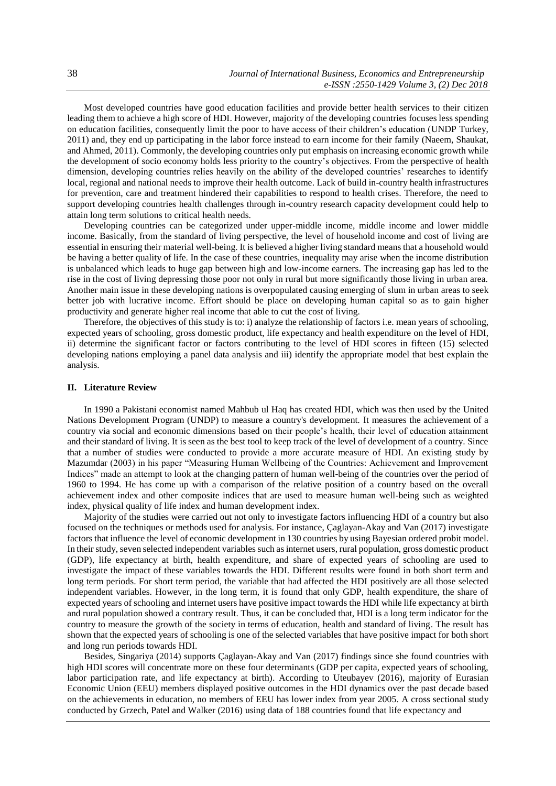Most developed countries have good education facilities and provide better health services to their citizen leading them to achieve a high score of HDI. However, majority of the developing countries focuses less spending on education facilities, consequently limit the poor to have access of their children's education (UNDP Turkey, 2011) and, they end up participating in the labor force instead to earn income for their family (Naeem, Shaukat, and Ahmed, 2011). Commonly, the developing countries only put emphasis on increasing economic growth while the development of socio economy holds less priority to the country's objectives. From the perspective of health dimension, developing countries relies heavily on the ability of the developed countries' researches to identify local, regional and national needs to improve their health outcome. Lack of build in-country health infrastructures for prevention, care and treatment hindered their capabilities to respond to health crises. Therefore, the need to support developing countries health challenges through in-country research capacity development could help to attain long term solutions to critical health needs.

Developing countries can be categorized under upper-middle income, middle income and lower middle income. Basically, from the standard of living perspective, the level of household income and cost of living are essential in ensuring their material well-being. It is believed a higher living standard means that a household would be having a better quality of life. In the case of these countries, inequality may arise when the income distribution is unbalanced which leads to huge gap between high and low-income earners. The increasing gap has led to the rise in the cost of living depressing those poor not only in rural but more significantly those living in urban area. Another main issue in these developing nations is overpopulated causing emerging of slum in urban areas to seek better job with lucrative income. Effort should be place on developing human capital so as to gain higher productivity and generate higher real income that able to cut the cost of living.

Therefore, the objectives of this study is to: i) analyze the relationship of factors i.e. mean years of schooling, expected years of schooling, gross domestic product, life expectancy and health expenditure on the level of HDI, ii) determine the significant factor or factors contributing to the level of HDI scores in fifteen (15) selected developing nations employing a panel data analysis and iii) identify the appropriate model that best explain the analysis.

#### **II. Literature Review**

In 1990 a Pakistani economist named Mahbub ul Haq has created HDI, which was then used by the United Nations Development Program (UNDP) to measure a country's development. It measures the achievement of a country via social and economic dimensions based on their people's health, their level of education attainment and their standard of living. It is seen as the best tool to keep track of the level of development of a country. Since that a number of studies were conducted to provide a more accurate measure of HDI. An existing study by Mazumdar (2003) in his paper "Measuring Human Wellbeing of the Countries: Achievement and Improvement Indices" made an attempt to look at the changing pattern of human well-being of the countries over the period of 1960 to 1994. He has come up with a comparison of the relative position of a country based on the overall achievement index and other composite indices that are used to measure human well-being such as weighted index, physical quality of life index and human development index.

Majority of the studies were carried out not only to investigate factors influencing HDI of a country but also focused on the techniques or methods used for analysis. For instance, Çaglayan-Akay and Van (2017) investigate factors that influence the level of economic development in 130 countries by using Bayesian ordered probit model. In their study, seven selected independent variables such as internet users, rural population, gross domestic product (GDP), life expectancy at birth, health expenditure, and share of expected years of schooling are used to investigate the impact of these variables towards the HDI. Different results were found in both short term and long term periods. For short term period, the variable that had affected the HDI positively are all those selected independent variables. However, in the long term, it is found that only GDP, health expenditure, the share of expected years of schooling and internet users have positive impact towards the HDI while life expectancy at birth and rural population showed a contrary result. Thus, it can be concluded that, HDI is a long term indicator for the country to measure the growth of the society in terms of education, health and standard of living. The result has shown that the expected years of schooling is one of the selected variables that have positive impact for both short and long run periods towards HDI.

Besides, Singariya (2014) supports Çaglayan-Akay and Van (2017) findings since she found countries with high HDI scores will concentrate more on these four determinants (GDP per capita, expected years of schooling, labor participation rate, and life expectancy at birth). According to Uteubayev (2016), majority of Eurasian Economic Union (EEU) members displayed positive outcomes in the HDI dynamics over the past decade based on the achievements in education, no members of EEU has lower index from year 2005. A cross sectional study conducted by Grzech, Patel and Walker (2016) using data of 188 countries found that life expectancy and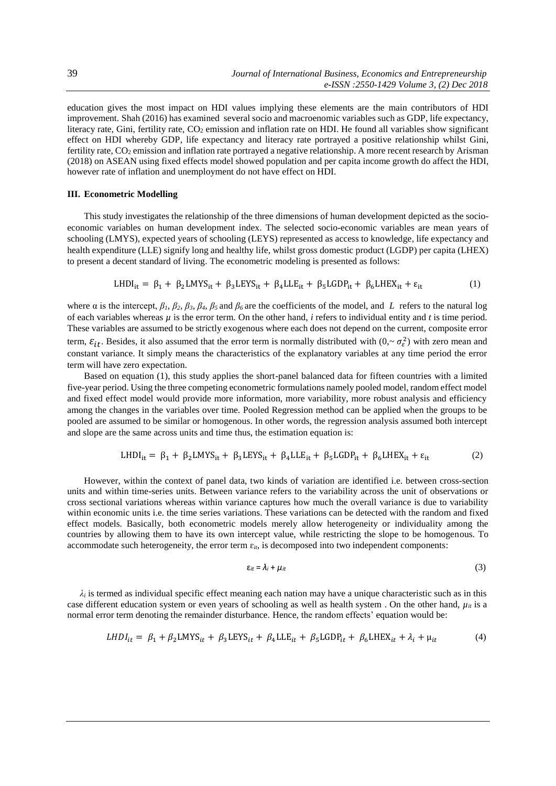education gives the most impact on HDI values implying these elements are the main contributors of HDI improvement. Shah (2016) has examined several socio and macroenomic variables such as GDP, life expectancy, literacy rate, Gini, fertility rate, CO<sub>2</sub> emission and inflation rate on HDI. He found all variables show significant effect on HDI whereby GDP, life expectancy and literacy rate portrayed a positive relationship whilst Gini, fertility rate, CO<sub>2</sub> emission and inflation rate portrayed a negative relationship. A more recent research by Arisman (2018) on ASEAN using fixed effects model showed population and per capita income growth do affect the HDI, however rate of inflation and unemployment do not have effect on HDI.

#### **III. Econometric Modelling**

This study investigates the relationship of the three dimensions of human development depicted as the socioeconomic variables on human development index. The selected socio-economic variables are mean years of schooling (LMYS), expected years of schooling (LEYS) represented as access to knowledge, life expectancy and health expenditure (LLE) signify long and healthy life, whilst gross domestic product (LGDP) per capita (LHEX) to present a decent standard of living. The econometric modeling is presented as follows:

$$
LHDI_{it} = \beta_1 + \beta_2 LMYS_{it} + \beta_3 L EYS_{it} + \beta_4 LLE_{it} + \beta_5 LGDP_{it} + \beta_6 L HEX_{it} + \varepsilon_{it}
$$
 (1)

where  $\alpha$  is the intercept,  $\beta_1$ ,  $\beta_2$ ,  $\beta_3$ ,  $\beta_4$ ,  $\beta_5$  and  $\beta_6$  are the coefficients of the model, and *L* refers to the natural log of each variables whereas  $\mu$  is the error term. On the other hand, *i* refers to individual entity and *t* is time period. These variables are assumed to be strictly exogenous where each does not depend on the current, composite error term,  $\varepsilon_{it}$ . Besides, it also assumed that the error term is normally distributed with  $(0, \sim \sigma_{\varepsilon}^2)$  with zero mean and constant variance. It simply means the characteristics of the explanatory variables at any time period the error term will have zero expectation.

Based on equation (1), this study applies the short-panel balanced data for fifteen countries with a limited five-year period. Using the three competing econometric formulations namely pooled model, random effect model and fixed effect model would provide more information, more variability, more robust analysis and efficiency among the changes in the variables over time. Pooled Regression method can be applied when the groups to be pooled are assumed to be similar or homogenous. In other words, the regression analysis assumed both intercept and slope are the same across units and time thus, the estimation equation is:

$$
LHDI_{it} = \beta_1 + \beta_2 LMYS_{it} + \beta_3 LEYS_{it} + \beta_4 LLE_{it} + \beta_5 LGDP_{it} + \beta_6 LHEX_{it} + \varepsilon_{it}
$$
 (2)

However, within the context of panel data, two kinds of variation are identified i.e. between cross-section units and within time-series units. Between variance refers to the variability across the unit of observations or cross sectional variations whereas within variance captures how much the overall variance is due to variability within economic units i.e. the time series variations. These variations can be detected with the random and fixed effect models. Basically, both econometric models merely allow heterogeneity or individuality among the countries by allowing them to have its own intercept value, while restricting the slope to be homogenous. To accommodate such heterogeneity, the error term  $\varepsilon_{it}$ , is decomposed into two independent components:

$$
\varepsilon_{it} = \lambda_i + \mu_{it} \tag{3}
$$

 $\lambda_i$  is termed as individual specific effect meaning each nation may have a unique characteristic such as in this case different education system or even years of schooling as well as health system . On the other hand,  $\mu_{it}$  is a normal error term denoting the remainder disturbance. Hence, the random effects' equation would be:

$$
LHDI_{it} = \beta_1 + \beta_2 LMYS_{it} + \beta_3 LEYS_{it} + \beta_4 LLE_{it} + \beta_5 LGDP_{it} + \beta_6 LHEX_{it} + \lambda_i + \mu_{it}
$$
(4)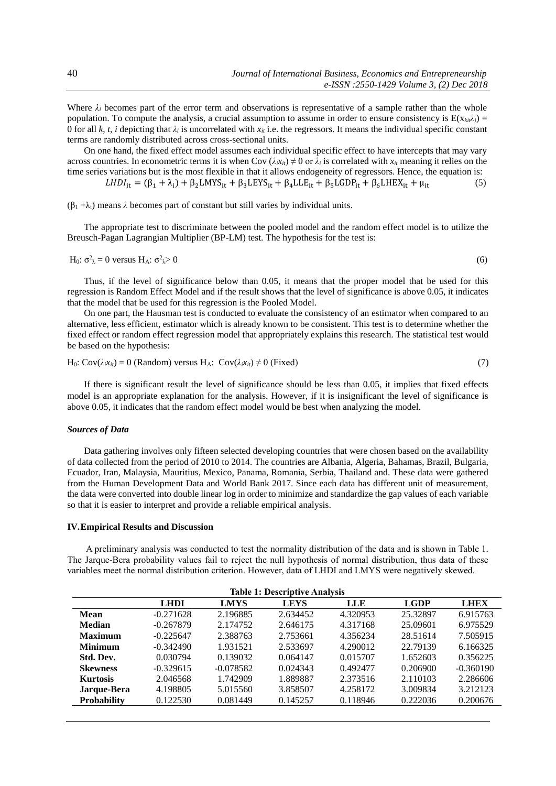Where  $\lambda_i$  becomes part of the error term and observations is representative of a sample rather than the whole population. To compute the analysis, a crucial assumption to assume in order to ensure consistency is  $E(x_{ki},\lambda_i)$ 0 for all *k*, *t*, *i* depicting that  $\lambda_i$  is uncorrelated with  $x_i$  i.e. the regressors. It means the individual specific constant terms are randomly distributed across cross-sectional units.

On one hand, the fixed effect model assumes each individual specific effect to have intercepts that may vary across countries. In econometric terms it is when Cov  $(\lambda_i x_{ii}) \neq 0$  or  $\lambda_i$  is correlated with  $x_{ii}$  meaning it relies on the time series variations but is the most flexible in that it allows endogeneity of regressors. Hence, the equation is:

 $LHDI_{it} = (\beta_1 + \lambda_i) + \beta_2 LMYS_{it} + \beta_3 L EYS_{it} + \beta_4 LLE_{it} + \beta_5 LGDP_{it} + \beta_6 L HEX_{it} + \mu_{it}$  (5)

(β<sup>1</sup> +λi) means *λ* becomes part of constant but still varies by individual units.

The appropriate test to discriminate between the pooled model and the random effect model is to utilize the Breusch-Pagan Lagrangian Multiplier (BP-LM) test. The hypothesis for the test is:

$$
H_0: \sigma^2 \lambda = 0 \text{ versus } H_A: \sigma^2 \lambda > 0 \tag{6}
$$

Thus, if the level of significance below than 0.05, it means that the proper model that be used for this regression is Random Effect Model and if the result shows that the level of significance is above 0.05, it indicates that the model that be used for this regression is the Pooled Model.

On one part, the Hausman test is conducted to evaluate the consistency of an estimator when compared to an alternative, less efficient, estimator which is already known to be consistent. This test is to determine whether the fixed effect or random effect regression model that appropriately explains this research. The statistical test would be based on the hypothesis:

H<sub>0</sub>: Cov(
$$
\lambda_i x_{ii}
$$
) = 0 (Random) versus H<sub>A</sub>: Cov( $\lambda_i x_{ii}$ )  $\neq$  0 (Fixed) (7)

If there is significant result the level of significance should be less than 0.05, it implies that fixed effects model is an appropriate explanation for the analysis. However, if it is insignificant the level of significance is above 0.05, it indicates that the random effect model would be best when analyzing the model.

#### *Sources of Data*

Data gathering involves only fifteen selected developing countries that were chosen based on the availability of data collected from the period of 2010 to 2014. The countries are Albania, Algeria, Bahamas, Brazil, Bulgaria, Ecuador, Iran, Malaysia, Mauritius, Mexico, Panama, Romania, Serbia, Thailand and. These data were gathered from the Human Development Data and World Bank 2017. Since each data has different unit of measurement, the data were converted into double linear log in order to minimize and standardize the gap values of each variable so that it is easier to interpret and provide a reliable empirical analysis.

## **IV.Empirical Results and Discussion**

A preliminary analysis was conducted to test the normality distribution of the data and is shown in Table 1. The Jarque-Bera probability values fail to reject the null hypothesis of normal distribution, thus data of these variables meet the normal distribution criterion. However, data of LHDI and LMYS were negatively skewed.

| <b>LMYS</b><br><b>LGDP</b><br><b>LEYS</b><br><b>LHEX</b><br><b>LHDI</b><br><b>LLE</b><br>4.320953<br>25.32897<br>$-0.271628$<br>2.196885<br>2.634452<br>6.915763<br>Mean<br>$-0.267879$<br>25.09601<br>2.174752<br>4.317168<br>6.975529<br><b>Median</b><br>2.646175<br>2.388763<br>2.753661<br>4.356234<br>28.51614<br>7.505915<br><b>Maximum</b><br>$-0.225647$<br>22.79139<br>$-0.342490$<br>2.533697<br>4.290012<br>1.931521<br>6.166325<br><b>Minimum</b><br>0.015707<br>0.030794<br>0.139032<br>1.652603<br>0.356225<br>Std. Dev.<br>0.064147<br>$-0.078582$<br>$-0.329615$<br>0.024343<br>0.492477<br>0.206900<br>$-0.360190$<br><b>Skewness</b> |
|---------------------------------------------------------------------------------------------------------------------------------------------------------------------------------------------------------------------------------------------------------------------------------------------------------------------------------------------------------------------------------------------------------------------------------------------------------------------------------------------------------------------------------------------------------------------------------------------------------------------------------------------------------|
|                                                                                                                                                                                                                                                                                                                                                                                                                                                                                                                                                                                                                                                         |
|                                                                                                                                                                                                                                                                                                                                                                                                                                                                                                                                                                                                                                                         |
|                                                                                                                                                                                                                                                                                                                                                                                                                                                                                                                                                                                                                                                         |
|                                                                                                                                                                                                                                                                                                                                                                                                                                                                                                                                                                                                                                                         |
|                                                                                                                                                                                                                                                                                                                                                                                                                                                                                                                                                                                                                                                         |
|                                                                                                                                                                                                                                                                                                                                                                                                                                                                                                                                                                                                                                                         |
|                                                                                                                                                                                                                                                                                                                                                                                                                                                                                                                                                                                                                                                         |
| 2.373516<br>1.889887<br>2.110103<br>2.046568<br>1.742909<br>2.286606<br><b>Kurtosis</b>                                                                                                                                                                                                                                                                                                                                                                                                                                                                                                                                                                 |
| 4.198805<br>3.858507<br>4.258172<br>3.009834<br>3.212123<br>Jarque-Bera<br>5.015560                                                                                                                                                                                                                                                                                                                                                                                                                                                                                                                                                                     |
| <b>Probability</b><br>0.122530<br>0.081449<br>0.145257<br>0.118946<br>0.222036<br>0.200676                                                                                                                                                                                                                                                                                                                                                                                                                                                                                                                                                              |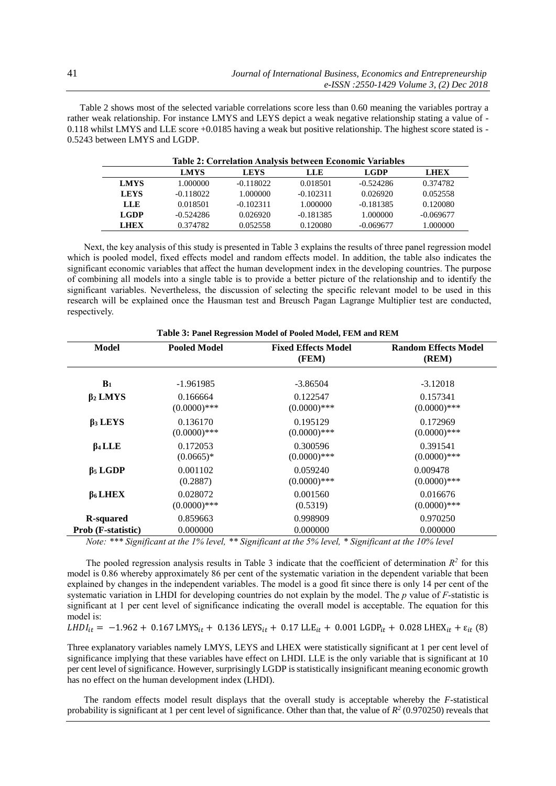Table 2 shows most of the selected variable correlations score less than 0.60 meaning the variables portray a rather weak relationship. For instance LMYS and LEYS depict a weak negative relationship stating a value of - 0.118 whilst LMYS and LLE score +0.0185 having a weak but positive relationship. The highest score stated is - 0.5243 between LMYS and LGDP.

|             | <b>Table 2: Correlation Analysis between Economic Variables</b> |             |             |             |             |  |
|-------------|-----------------------------------------------------------------|-------------|-------------|-------------|-------------|--|
|             | <b>LMYS</b>                                                     | <b>LEYS</b> | LLE         | <b>LGDP</b> | <b>LHEX</b> |  |
| <b>LMYS</b> | 1.000000                                                        | $-0.118022$ | 0.018501    | $-0.524286$ | 0.374782    |  |
| <b>LEYS</b> | $-0.118022$                                                     | 1.000000    | $-0.102311$ | 0.026920    | 0.052558    |  |
| LLE         | 0.018501                                                        | $-0.102311$ | 1.000000    | $-0.181385$ | 0.120080    |  |
| <b>LGDP</b> | $-0.524286$                                                     | 0.026920    | $-0.181385$ | 1.000000    | $-0.069677$ |  |
| <b>LHEX</b> | 0.374782                                                        | 0.052558    | 0.120080    | $-0.069677$ | 1.000000    |  |

Next, the key analysis of this study is presented in Table 3 explains the results of three panel regression model which is pooled model, fixed effects model and random effects model. In addition, the table also indicates the significant economic variables that affect the human development index in the developing countries. The purpose of combining all models into a single table is to provide a better picture of the relationship and to identify the significant variables. Nevertheless, the discussion of selecting the specific relevant model to be used in this research will be explained once the Hausman test and Breusch Pagan Lagrange Multiplier test are conducted, respectively.

| Model                              | <b>Pooled Model</b> | <b>Fixed Effects Model</b><br>(FEM) | <b>Random Effects Model</b><br>(REM) |
|------------------------------------|---------------------|-------------------------------------|--------------------------------------|
| B <sub>1</sub>                     | $-1.961985$         | $-3.86504$                          | $-3.12018$                           |
| $\beta_2$ LMYS                     | 0.166664            | 0.122547                            | 0.157341                             |
|                                    | $(0.0000)$ ***      | $(0.0000)$ ***                      | $(0.0000)$ ***                       |
| $\beta_3$ LEYS                     | 0.136170            | 0.195129                            | 0.172969                             |
|                                    | $(0.0000)$ ***      | $(0.0000)$ ***                      | $(0.0000)$ ***                       |
| $\beta$ 4 LLE                      | 0.172053            | 0.300596                            | 0.391541                             |
|                                    | $(0.0665)*$         | $(0.0000)$ ***                      | $(0.0000)$ ***                       |
| $\beta$ <sub>5</sub> LGDP          | 0.001102            | 0.059240                            | 0.009478                             |
|                                    | (0.2887)            | $(0.0000)$ ***                      | $(0.0000)$ ***                       |
| $\beta$ <sub>6</sub> LHEX          | 0.028072            | 0.001560                            | 0.016676                             |
|                                    | $(0.0000)$ ***      | (0.5319)                            | $(0.0000)$ ***                       |
| <b>R-squared</b>                   | 0.859663            | 0.998909                            | 0.970250                             |
| <b>Prob</b> ( <b>F</b> -statistic) | 0.000000            | 0.000000                            | 0.000000                             |

# **Table 3: Panel Regression Model of Pooled Model, FEM and REM**

*Note: \*\*\* Significant at the 1% level, \*\* Significant at the 5% level, \* Significant at the 10% level*

The pooled regression analysis results in Table 3 indicate that the coefficient of determination  $R^2$  for this model is 0.86 whereby approximately 86 per cent of the systematic variation in the dependent variable that been explained by changes in the independent variables. The model is a good fit since there is only 14 per cent of the systematic variation in LHDI for developing countries do not explain by the model. The *p* value of *F*-statistic is significant at 1 per cent level of significance indicating the overall model is acceptable. The equation for this model is:

 $LHDI_{it} = -1.962 + 0.167 LMYS_{it} + 0.136 LEYS_{it} + 0.17 LLE_{it} + 0.001 LGDP_{it} + 0.028 LHEX_{it} + \varepsilon_{it}$  (8)

Three explanatory variables namely LMYS, LEYS and LHEX were statistically significant at 1 per cent level of significance implying that these variables have effect on LHDI. LLE is the only variable that is significant at 10 per cent level of significance. However, surprisingly LGDP is statistically insignificant meaning economic growth has no effect on the human development index (LHDI).

The random effects model result displays that the overall study is acceptable whereby the *F*-statistical probability is significant at 1 per cent level of significance. Other than that, the value of  $R^2$  (0.970250) reveals that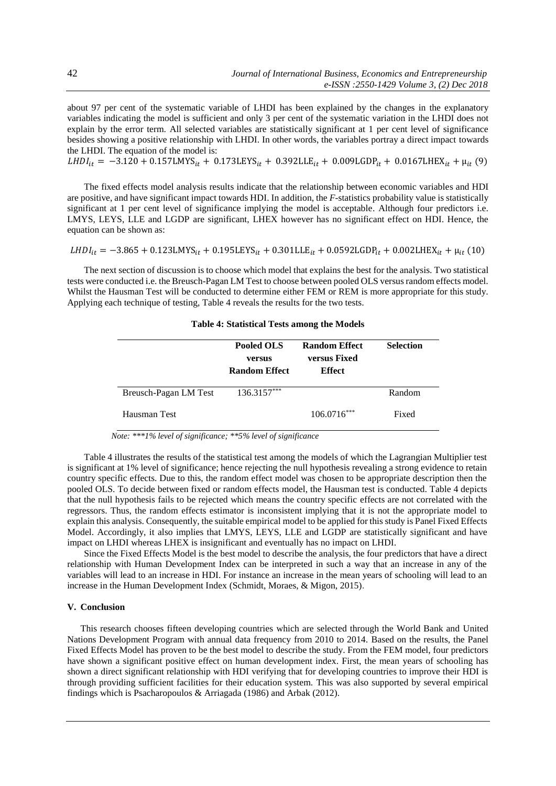about 97 per cent of the systematic variable of LHDI has been explained by the changes in the explanatory variables indicating the model is sufficient and only 3 per cent of the systematic variation in the LHDI does not explain by the error term. All selected variables are statistically significant at 1 per cent level of significance besides showing a positive relationship with LHDI. In other words, the variables portray a direct impact towards the LHDI. The equation of the model is:

 $LHDI_{it} = -3.120 + 0.157LMYS_{it} + 0.173LEYS_{it} + 0.392LLE_{it} + 0.009LGDP_{it} + 0.0167LHEX_{it} + \mu_{it} (9)$ 

The fixed effects model analysis results indicate that the relationship between economic variables and HDI are positive, and have significant impact towards HDI. In addition, the *F*-statistics probability value is statistically significant at 1 per cent level of significance implying the model is acceptable. Although four predictors i.e. LMYS, LEYS, LLE and LGDP are significant, LHEX however has no significant effect on HDI. Hence, the equation can be shown as:

$$
LHDI_{it} = -3.865 + 0.123 \text{LMYS}_{it} + 0.195 \text{LEYS}_{it} + 0.301 \text{LLE}_{it} + 0.0592 \text{LGDP}_{it} + 0.002 \text{LHEX}_{it} + \mu_{it} (10)
$$

The next section of discussion is to choose which model that explains the best for the analysis. Two statistical tests were conducted i.e. the Breusch-Pagan LM Test to choose between pooled OLS versus random effects model. Whilst the Hausman Test will be conducted to determine either FEM or REM is more appropriate for this study. Applying each technique of testing, Table 4 reveals the results for the two tests.

| <b>Table 4: Statistical Tests among the Models</b> |  |  |  |  |
|----------------------------------------------------|--|--|--|--|
|----------------------------------------------------|--|--|--|--|

|                       | Pooled OLS<br>versus<br><b>Random Effect</b> | <b>Random Effect</b><br>versus Fixed<br><b>Effect</b> | <b>Selection</b> |
|-----------------------|----------------------------------------------|-------------------------------------------------------|------------------|
| Breusch-Pagan LM Test | 136.3157***                                  |                                                       | Random           |
| Hausman Test          |                                              | $106.0716***$                                         | Fixed            |

*Note: \*\*\*1% level of significance; \*\*5% level of significance*

Table 4 illustrates the results of the statistical test among the models of which the Lagrangian Multiplier test is significant at 1% level of significance; hence rejecting the null hypothesis revealing a strong evidence to retain country specific effects. Due to this, the random effect model was chosen to be appropriate description then the pooled OLS. To decide between fixed or random effects model, the Hausman test is conducted. Table 4 depicts that the null hypothesis fails to be rejected which means the country specific effects are not correlated with the regressors. Thus, the random effects estimator is inconsistent implying that it is not the appropriate model to explain this analysis. Consequently, the suitable empirical model to be applied for this study is Panel Fixed Effects Model. Accordingly, it also implies that LMYS, LEYS, LLE and LGDP are statistically significant and have impact on LHDI whereas LHEX is insignificant and eventually has no impact on LHDI.

Since the Fixed Effects Model is the best model to describe the analysis, the four predictors that have a direct relationship with Human Development Index can be interpreted in such a way that an increase in any of the variables will lead to an increase in HDI. For instance an increase in the mean years of schooling will lead to an increase in the Human Development Index (Schmidt, Moraes, & Migon, 2015).

#### **V. Conclusion**

This research chooses fifteen developing countries which are selected through the World Bank and United Nations Development Program with annual data frequency from 2010 to 2014. Based on the results, the Panel Fixed Effects Model has proven to be the best model to describe the study. From the FEM model, four predictors have shown a significant positive effect on human development index. First, the mean years of schooling has shown a direct significant relationship with HDI verifying that for developing countries to improve their HDI is through providing sufficient facilities for their education system. This was also supported by several empirical findings which is Psacharopoulos & Arriagada (1986) and Arbak (2012).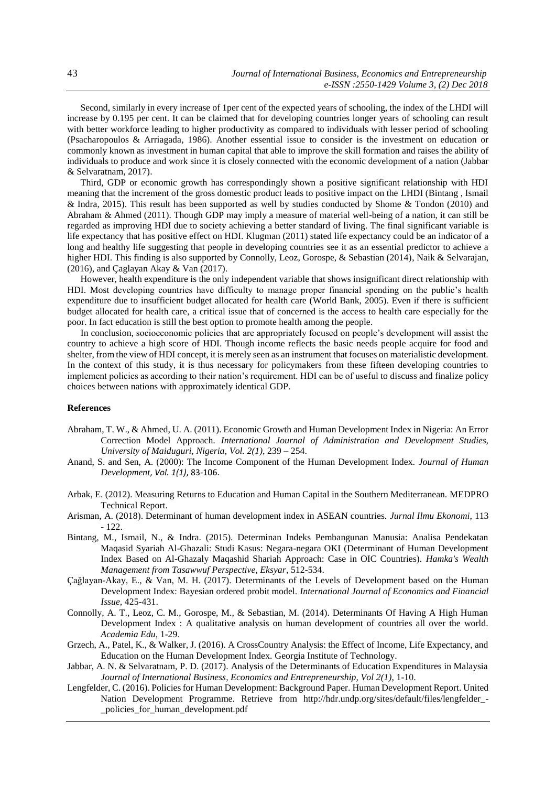Second, similarly in every increase of 1per cent of the expected years of schooling, the index of the LHDI will increase by 0.195 per cent. It can be claimed that for developing countries longer years of schooling can result with better workforce leading to higher productivity as compared to individuals with lesser period of schooling (Psacharopoulos & Arriagada, 1986). Another essential issue to consider is the investment on education or commonly known as investment in human capital that able to improve the skill formation and raises the ability of individuals to produce and work since it is closely connected with the economic development of a nation (Jabbar & Selvaratnam, 2017).

Third, GDP or economic growth has correspondingly shown a positive significant relationship with HDI meaning that the increment of the gross domestic product leads to positive impact on the LHDI (Bintang , Ismail & Indra, 2015). This result has been supported as well by studies conducted by Shome & Tondon (2010) and Abraham & Ahmed (2011). Though GDP may imply a measure of material well-being of a nation, it can still be regarded as improving HDI due to society achieving a better standard of living. The final significant variable is life expectancy that has positive effect on HDI. Klugman (2011) stated life expectancy could be an indicator of a long and healthy life suggesting that people in developing countries see it as an essential predictor to achieve a higher HDI. This finding is also supported by Connolly, Leoz, Gorospe, & Sebastian (2014), Naik & Selvarajan, (2016), and Çaglayan Akay & Van (2017).

However, health expenditure is the only independent variable that shows insignificant direct relationship with HDI. Most developing countries have difficulty to manage proper financial spending on the public's health expenditure due to insufficient budget allocated for health care (World Bank, 2005). Even if there is sufficient budget allocated for health care, a critical issue that of concerned is the access to health care especially for the poor. In fact education is still the best option to promote health among the people.

In conclusion, socioeconomic policies that are appropriately focused on people's development will assist the country to achieve a high score of HDI. Though income reflects the basic needs people acquire for food and shelter, from the view of HDI concept, it is merely seen as an instrument that focuses on materialistic development. In the context of this study, it is thus necessary for policymakers from these fifteen developing countries to implement policies as according to their nation's requirement. HDI can be of useful to discuss and finalize policy choices between nations with approximately identical GDP.

#### **References**

- Abraham, T. W., & Ahmed, U. A. (2011). Economic Growth and Human Development Index in Nigeria: An Error Correction Model Approach. *International Journal of Administration and Development Studies, University of Maiduguri, Nigeria*, *Vol. 2(1)*, 239 – 254.
- Anand, S. and Sen, A. (2000): The Income Component of the Human Development Index. *Journal of Human Development*, *Vol. 1(1)*, 83-106.
- Arbak, E. (2012). Measuring Returns to Education and Human Capital in the Southern Mediterranean. MEDPRO Technical Report.
- Arisman, A. (2018). Determinant of human development index in ASEAN countries. *Jurnal Ilmu Ekonomi*, 113 - 122.
- Bintang, M., Ismail, N., & Indra. (2015). Determinan Indeks Pembangunan Manusia: Analisa Pendekatan Maqasid Syariah Al-Ghazali: Studi Kasus: Negara-negara OKI (Determinant of Human Development Index Based on Al-Ghazaly Maqashid Shariah Approach: Case in OIC Countries). *Hamka's Wealth Management from Tasawwuf Perspective, Eksyar*, 512-534.
- Çağlayan-Akay, E., & Van, M. H. (2017). Determinants of the Levels of Development based on the Human Development Index: Bayesian ordered probit model. *International Journal of Economics and Financial Issue*, 425-431.
- Connolly, A. T., Leoz, C. M., Gorospe, M., & Sebastian, M. (2014). Determinants Of Having A High Human Development Index : A qualitative analysis on human development of countries all over the world. *Academia Edu*, 1-29.
- Grzech, A., Patel, K., & Walker, J. (2016). A CrossCountry Analysis: the Effect of Income, Life Expectancy, and Education on the Human Development Index. Georgia Institute of Technology.
- Jabbar, A. N. & Selvaratnam, P. D. (2017). Analysis of the Determinants of Education Expenditures in Malaysia *Journal of International Business, Economics and Entrepreneurship, Vol 2(1)*, 1-10.
- Lengfelder, C. (2016). Policies for Human Development: Background Paper. Human Development Report. United Nation Development Programme. Retrieve from http://hdr.undp.org/sites/default/files/lengfelder\_- \_policies\_for\_human\_development.pdf